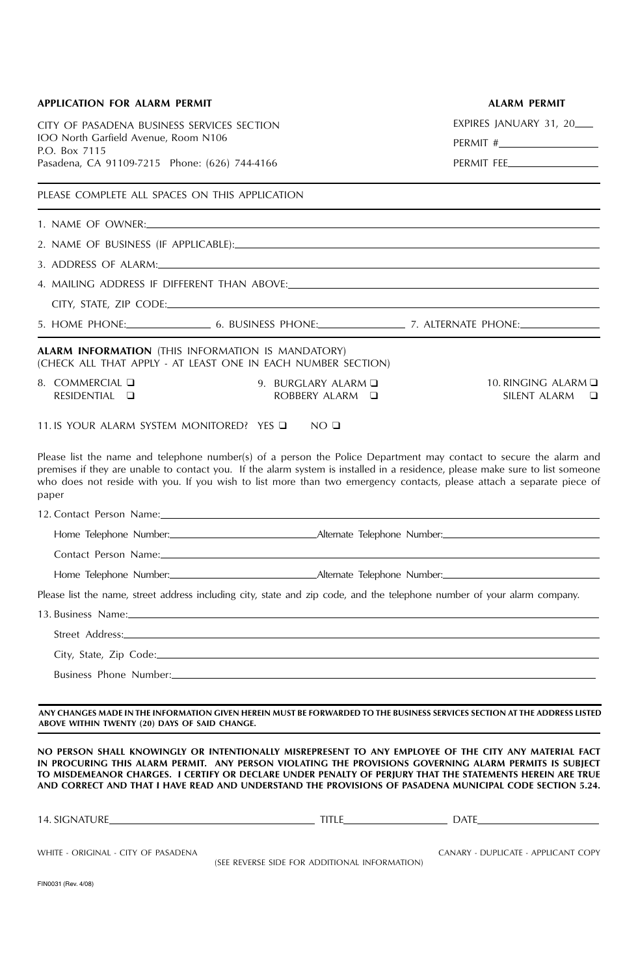| <b>APPLICATION FOR ALARM PERMIT</b>                                                                                      |                                                                                                                                                                                                                                | <b>ALARM PERMIT</b>                                                                                                                                                                                                                                                                                                                                                                                                                     |
|--------------------------------------------------------------------------------------------------------------------------|--------------------------------------------------------------------------------------------------------------------------------------------------------------------------------------------------------------------------------|-----------------------------------------------------------------------------------------------------------------------------------------------------------------------------------------------------------------------------------------------------------------------------------------------------------------------------------------------------------------------------------------------------------------------------------------|
| CITY OF PASADENA BUSINESS SERVICES SECTION                                                                               |                                                                                                                                                                                                                                | EXPIRES JANUARY 31, 20                                                                                                                                                                                                                                                                                                                                                                                                                  |
| IOO North Garfield Avenue, Room N106<br>P.O. Box 7115                                                                    |                                                                                                                                                                                                                                |                                                                                                                                                                                                                                                                                                                                                                                                                                         |
| Pasadena, CA 91109-7215 Phone: (626) 744-4166                                                                            |                                                                                                                                                                                                                                | PERMIT FEE                                                                                                                                                                                                                                                                                                                                                                                                                              |
| PLEASE COMPLETE ALL SPACES ON THIS APPLICATION                                                                           |                                                                                                                                                                                                                                |                                                                                                                                                                                                                                                                                                                                                                                                                                         |
|                                                                                                                          |                                                                                                                                                                                                                                |                                                                                                                                                                                                                                                                                                                                                                                                                                         |
|                                                                                                                          |                                                                                                                                                                                                                                |                                                                                                                                                                                                                                                                                                                                                                                                                                         |
|                                                                                                                          |                                                                                                                                                                                                                                |                                                                                                                                                                                                                                                                                                                                                                                                                                         |
|                                                                                                                          |                                                                                                                                                                                                                                |                                                                                                                                                                                                                                                                                                                                                                                                                                         |
|                                                                                                                          |                                                                                                                                                                                                                                |                                                                                                                                                                                                                                                                                                                                                                                                                                         |
|                                                                                                                          |                                                                                                                                                                                                                                |                                                                                                                                                                                                                                                                                                                                                                                                                                         |
| <b>ALARM INFORMATION</b> (THIS INFORMATION IS MANDATORY)<br>(CHECK ALL THAT APPLY - AT LEAST ONE IN EACH NUMBER SECTION) |                                                                                                                                                                                                                                |                                                                                                                                                                                                                                                                                                                                                                                                                                         |
| 8. COMMERCIAL Q<br>RESIDENTIAL <b>Q</b>                                                                                  | 9. BURGLARY ALARM Q<br>ROBBERY ALARM Q                                                                                                                                                                                         | 10. RINGING ALARM $\Box$<br>SILENT ALARM D                                                                                                                                                                                                                                                                                                                                                                                              |
| 11. IS YOUR ALARM SYSTEM MONITORED? YES Q NO Q                                                                           |                                                                                                                                                                                                                                |                                                                                                                                                                                                                                                                                                                                                                                                                                         |
| paper                                                                                                                    |                                                                                                                                                                                                                                | Please list the name and telephone number(s) of a person the Police Department may contact to secure the alarm and<br>premises if they are unable to contact you. If the alarm system is installed in a residence, please make sure to list someone<br>who does not reside with you. If you wish to list more than two emergency contacts, please attach a separate piece of                                                            |
|                                                                                                                          | 12. Contact Person Name: 2008 and 2008 and 2008 and 2008 and 2008 and 2008 and 2008 and 2008 and 2008 and 2008                                                                                                                 |                                                                                                                                                                                                                                                                                                                                                                                                                                         |
|                                                                                                                          |                                                                                                                                                                                                                                |                                                                                                                                                                                                                                                                                                                                                                                                                                         |
|                                                                                                                          |                                                                                                                                                                                                                                |                                                                                                                                                                                                                                                                                                                                                                                                                                         |
|                                                                                                                          |                                                                                                                                                                                                                                |                                                                                                                                                                                                                                                                                                                                                                                                                                         |
|                                                                                                                          | Please list the name, street address including city, state and zip code, and the telephone number of your alarm company.                                                                                                       |                                                                                                                                                                                                                                                                                                                                                                                                                                         |
|                                                                                                                          |                                                                                                                                                                                                                                |                                                                                                                                                                                                                                                                                                                                                                                                                                         |
|                                                                                                                          |                                                                                                                                                                                                                                |                                                                                                                                                                                                                                                                                                                                                                                                                                         |
|                                                                                                                          |                                                                                                                                                                                                                                |                                                                                                                                                                                                                                                                                                                                                                                                                                         |
|                                                                                                                          | Business Phone Number: Manual Communication of the Manual Communication of the Manual Communication of the Manual Communication of the Manual Communication of the Manual Communication of the Manual Communication of the Man |                                                                                                                                                                                                                                                                                                                                                                                                                                         |
| ABOVE WITHIN TWENTY (20) DAYS OF SAID CHANGE.                                                                            |                                                                                                                                                                                                                                | ANY CHANGES MADE IN THE INFORMATION GIVEN HEREIN MUST BE FORWARDED TO THE BUSINESS SERVICES SECTION AT THE ADDRESS LISTED                                                                                                                                                                                                                                                                                                               |
|                                                                                                                          |                                                                                                                                                                                                                                | NO PERSON SHALL KNOWINGLY OR INTENTIONALLY MISREPRESENT TO ANY EMPLOYEE OF THE CITY ANY MATERIAL FACT<br>IN PROCURING THIS ALARM PERMIT. ANY PERSON VIOLATING THE PROVISIONS GOVERNING ALARM PERMITS IS SUBJECT<br>TO MISDEMEANOR CHARGES. I CERTIFY OR DECLARE UNDER PENALTY OF PERJURY THAT THE STATEMENTS HEREIN ARE TRUE<br>AND CORRECT AND THAT I HAVE READ AND UNDERSTAND THE PROVISIONS OF PASADENA MUNICIPAL CODE SECTION 5.24. |
|                                                                                                                          |                                                                                                                                                                                                                                |                                                                                                                                                                                                                                                                                                                                                                                                                                         |
| WHITE - ORIGINAL - CITY OF PASADENA                                                                                      | (SEE REVERSE SIDE FOR ADDITIONAL INFORMATION)                                                                                                                                                                                  | CANARY - DUPLICATE - APPLICANT COPY                                                                                                                                                                                                                                                                                                                                                                                                     |
| FIN0031 (Rev. 4/08)                                                                                                      |                                                                                                                                                                                                                                |                                                                                                                                                                                                                                                                                                                                                                                                                                         |